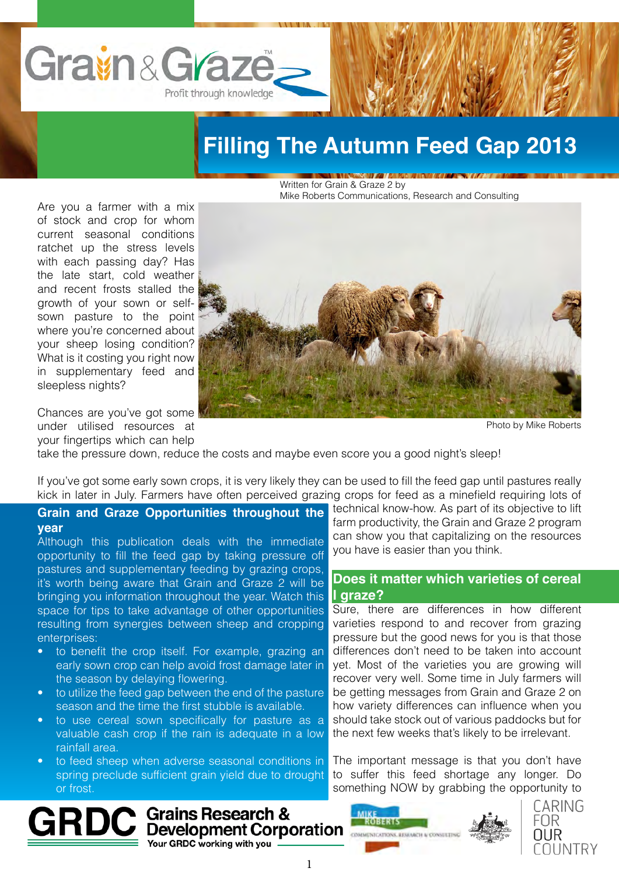

# **Filling The Autumn Feed Gap 2013**

Written for Grain & Graze 2 by Mike Roberts Communications, Research and Consulting

Are you a farmer with a mix of stock and crop for whom current seasonal conditions ratchet up the stress levels with each passing day? Has the late start, cold weather and recent frosts stalled the growth of your sown or selfsown pasture to the point where you're concerned about your sheep losing condition? What is it costing you right now in supplementary feed and sleepless nights?



Chances are you've got some under utilised resources at your fingertips which can help

Photo by Mike Roberts

take the pressure down, reduce the costs and maybe even score you a good night's sleep!

If you've got some early sown crops, it is very likely they can be used to fill the feed gap until pastures really kick in later in July. Farmers have often perceived grazing crops for feed as a minefield requiring lots of

### **Grain and Graze Opportunities throughout the year**

Although this publication deals with the immediate opportunity to fill the feed gap by taking pressure off pastures and supplementary feeding by grazing crops, it's worth being aware that Grain and Graze 2 will be bringing you information throughout the year. Watch this space for tips to take advantage of other opportunities resulting from synergies between sheep and cropping enterprises:

- to benefit the crop itself. For example, grazing an early sown crop can help avoid frost damage later in the season by delaying flowering.
- to utilize the feed gap between the end of the pasture season and the time the first stubble is available.
- to use cereal sown specifically for pasture as a valuable cash crop if the rain is adequate in a low rainfall area.
- to feed sheep when adverse seasonal conditions in spring preclude sufficient grain yield due to drought or frost.

Grains Research & Development Corporation Your GRDC working with you

technical know-how. As part of its objective to lift farm productivity, the Grain and Graze 2 program can show you that capitalizing on the resources you have is easier than you think.

## **Does it matter which varieties of cereal I graze?**

Sure, there are differences in how different varieties respond to and recover from grazing pressure but the good news for you is that those differences don't need to be taken into account yet. Most of the varieties you are growing will recover very well. Some time in July farmers will be getting messages from Grain and Graze 2 on how variety differences can influence when you should take stock out of various paddocks but for the next few weeks that's likely to be irrelevant.

The important message is that you don't have to suffer this feed shortage any longer. Do something NOW by grabbing the opportunity to



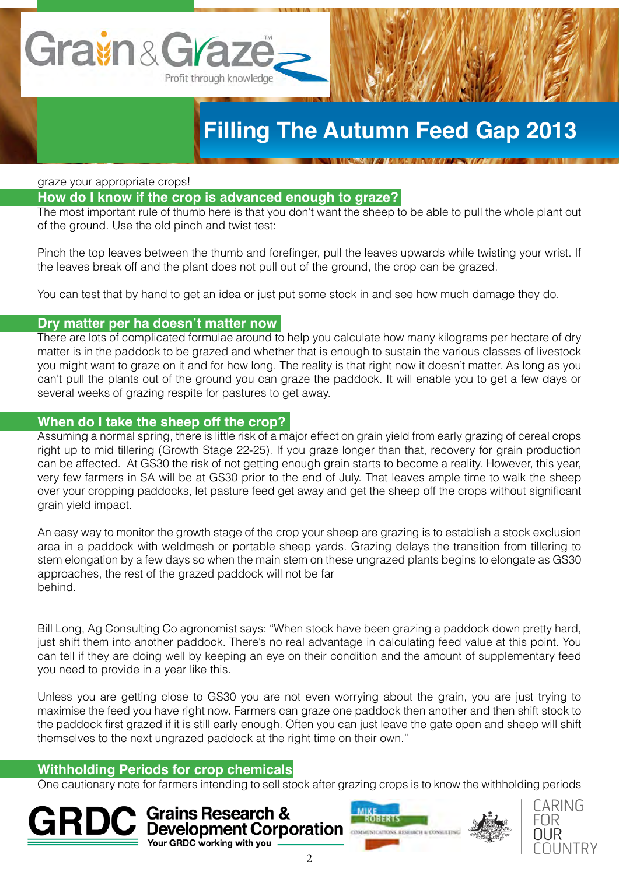# Gravin & Grazo Profit through knowledge

# **Filling The Autumn Feed Gap 2013**

graze your appropriate crops!

# **How do I know if the crop is advanced enough to graze?**

The most important rule of thumb here is that you don't want the sheep to be able to pull the whole plant out of the ground. Use the old pinch and twist test:

Pinch the top leaves between the thumb and forefinger, pull the leaves upwards while twisting your wrist. If the leaves break off and the plant does not pull out of the ground, the crop can be grazed.

You can test that by hand to get an idea or just put some stock in and see how much damage they do.

### **Dry matter per ha doesn't matter now**

There are lots of complicated formulae around to help you calculate how many kilograms per hectare of dry matter is in the paddock to be grazed and whether that is enough to sustain the various classes of livestock you might want to graze on it and for how long. The reality is that right now it doesn't matter. As long as you can't pull the plants out of the ground you can graze the paddock. It will enable you to get a few days or several weeks of grazing respite for pastures to get away.

# **When do I take the sheep off the crop?**

Assuming a normal spring, there is little risk of a major effect on grain yield from early grazing of cereal crops right up to mid tillering (Growth Stage 22-25). If you graze longer than that, recovery for grain production can be affected. At GS30 the risk of not getting enough grain starts to become a reality. However, this year, very few farmers in SA will be at GS30 prior to the end of July. That leaves ample time to walk the sheep over your cropping paddocks, let pasture feed get away and get the sheep off the crops without significant grain yield impact.

An easy way to monitor the growth stage of the crop your sheep are grazing is to establish a stock exclusion area in a paddock with weldmesh or portable sheep yards. Grazing delays the transition from tillering to stem elongation by a few days so when the main stem on these ungrazed plants begins to elongate as GS30 approaches, the rest of the grazed paddock will not be far behind.

Bill Long, Ag Consulting Co agronomist says: "When stock have been grazing a paddock down pretty hard, just shift them into another paddock. There's no real advantage in calculating feed value at this point. You can tell if they are doing well by keeping an eye on their condition and the amount of supplementary feed you need to provide in a year like this.

Unless you are getting close to GS30 you are not even worrying about the grain, you are just trying to maximise the feed you have right now. Farmers can graze one paddock then another and then shift stock to the paddock first grazed if it is still early enough. Often you can just leave the gate open and sheep will shift themselves to the next ungrazed paddock at the right time on their own."

# **Withholding Periods for crop chemicals**

One cautionary note for farmers intending to sell stock after grazing crops is to know the withholding periods

**Grains Research & Development Corporation** Your GRDC working with you